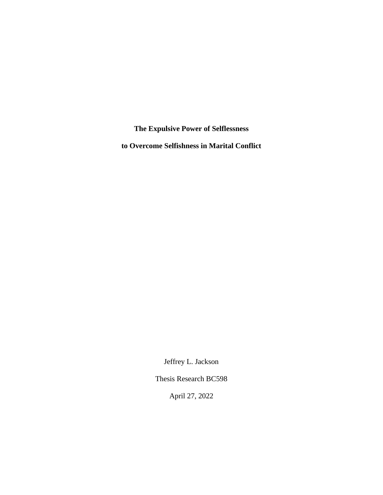**The Expulsive Power of Selflessness**

**to Overcome Selfishness in Marital Conflict**

Jeffrey L. Jackson

Thesis Research BC598

April 27, 2022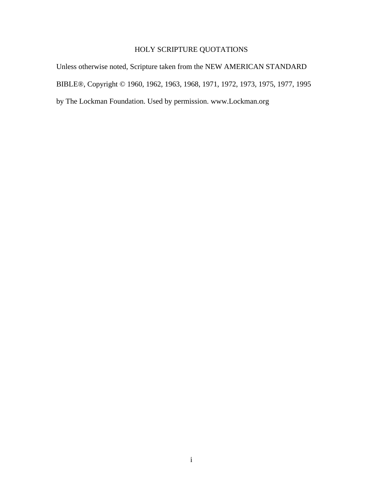# HOLY SCRIPTURE QUOTATIONS

Unless otherwise noted, Scripture taken from the NEW AMERICAN STANDARD BIBLE®, Copyright © 1960, 1962, 1963, 1968, 1971, 1972, 1973, 1975, 1977, 1995 by The Lockman Foundation. Used by permission. www.Lockman.org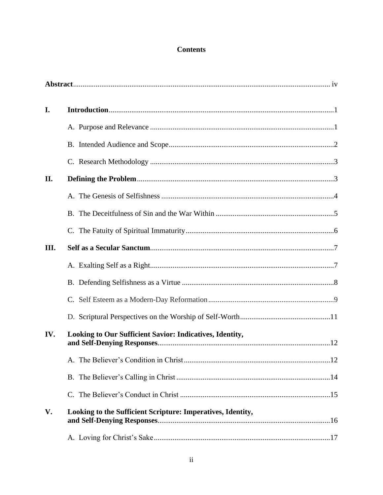# **Contents**

| I.   |                                                             |  |
|------|-------------------------------------------------------------|--|
|      |                                                             |  |
|      |                                                             |  |
|      |                                                             |  |
| II.  |                                                             |  |
|      |                                                             |  |
|      |                                                             |  |
|      |                                                             |  |
| III. |                                                             |  |
|      |                                                             |  |
|      |                                                             |  |
|      |                                                             |  |
|      |                                                             |  |
| IV.  | Looking to Our Sufficient Savior: Indicatives, Identity,    |  |
|      |                                                             |  |
|      |                                                             |  |
|      |                                                             |  |
| V.   | Looking to the Sufficient Scripture: Imperatives, Identity, |  |
|      |                                                             |  |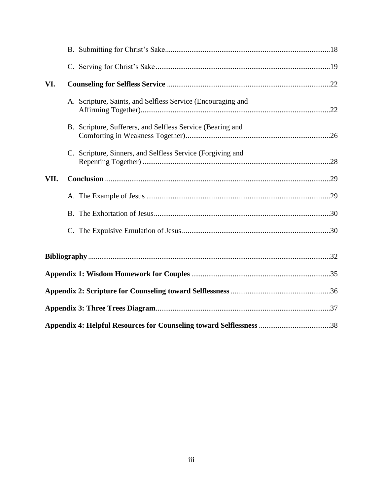| VI.  |                                                             |  |
|------|-------------------------------------------------------------|--|
|      | A. Scripture, Saints, and Selfless Service (Encouraging and |  |
|      | B. Scripture, Sufferers, and Selfless Service (Bearing and  |  |
|      | C. Scripture, Sinners, and Selfless Service (Forgiving and  |  |
| VII. |                                                             |  |
|      |                                                             |  |
|      |                                                             |  |
|      |                                                             |  |
|      |                                                             |  |
|      |                                                             |  |
|      |                                                             |  |
|      |                                                             |  |
|      |                                                             |  |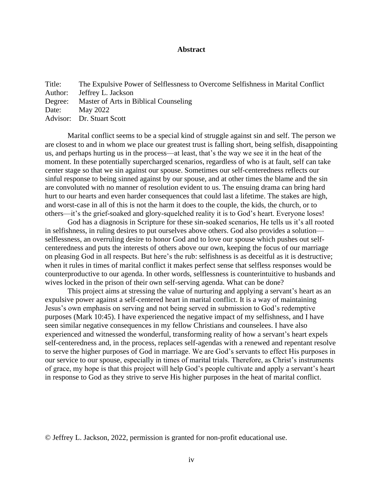## **Abstract**

Title: The Expulsive Power of Selflessness to Overcome Selfishness in Marital Conflict Author: Jeffrey L. Jackson Degree: Master of Arts in Biblical Counseling Date: May 2022 Advisor: Dr. Stuart Scott

Marital conflict seems to be a special kind of struggle against sin and self. The person we are closest to and in whom we place our greatest trust is falling short, being selfish, disappointing us, and perhaps hurting us in the process—at least, that's the way we see it in the heat of the moment. In these potentially supercharged scenarios, regardless of who is at fault, self can take center stage so that we sin against our spouse. Sometimes our self-centeredness reflects our sinful response to being sinned against by our spouse, and at other times the blame and the sin are convoluted with no manner of resolution evident to us. The ensuing drama can bring hard hurt to our hearts and even harder consequences that could last a lifetime. The stakes are high, and worst-case in all of this is not the harm it does to the couple, the kids, the church, or to others—it's the grief-soaked and glory-squelched reality it is to God's heart. Everyone loses!

God has a diagnosis in Scripture for these sin-soaked scenarios, He tells us it's all rooted in selfishness, in ruling desires to put ourselves above others. God also provides a solution selflessness, an overruling desire to honor God and to love our spouse which pushes out selfcenteredness and puts the interests of others above our own, keeping the focus of our marriage on pleasing God in all respects. But here's the rub: selfishness is as deceitful as it is destructive; when it rules in times of marital conflict it makes perfect sense that selfless responses would be counterproductive to our agenda. In other words, selflessness is counterintuitive to husbands and wives locked in the prison of their own self-serving agenda. What can be done?

This project aims at stressing the value of nurturing and applying a servant's heart as an expulsive power against a self-centered heart in marital conflict. It is a way of maintaining Jesus's own emphasis on serving and not being served in submission to God's redemptive purposes (Mark 10:45). I have experienced the negative impact of my selfishness, and I have seen similar negative consequences in my fellow Christians and counselees. I have also experienced and witnessed the wonderful, transforming reality of how a servant's heart expels self-centeredness and, in the process, replaces self-agendas with a renewed and repentant resolve to serve the higher purposes of God in marriage. We are God's servants to effect His purposes in our service to our spouse, especially in times of marital trials. Therefore, as Christ's instruments of grace, my hope is that this project will help God's people cultivate and apply a servant's heart in response to God as they strive to serve His higher purposes in the heat of marital conflict.

© Jeffrey L. Jackson, 2022, permission is granted for non-profit educational use.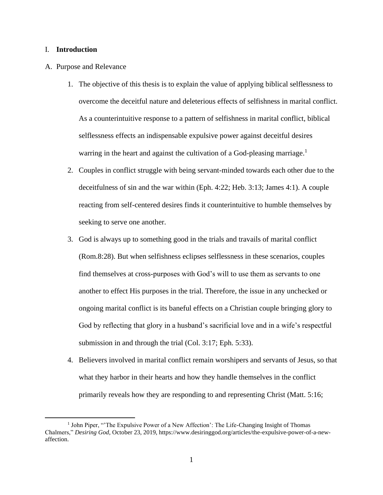## I. **Introduction**

- A. Purpose and Relevance
	- 1. The objective of this thesis is to explain the value of applying biblical selflessness to overcome the deceitful nature and deleterious effects of selfishness in marital conflict. As a counterintuitive response to a pattern of selfishness in marital conflict, biblical selflessness effects an indispensable expulsive power against deceitful desires warring in the heart and against the cultivation of a God-pleasing marriage.<sup>1</sup>
	- 2. Couples in conflict struggle with being servant-minded towards each other due to the deceitfulness of sin and the war within (Eph. 4:22; Heb. 3:13; James 4:1). A couple reacting from self-centered desires finds it counterintuitive to humble themselves by seeking to serve one another.
	- 3. God is always up to something good in the trials and travails of marital conflict (Rom.8:28). But when selfishness eclipses selflessness in these scenarios, couples find themselves at cross-purposes with God's will to use them as servants to one another to effect His purposes in the trial. Therefore, the issue in any unchecked or ongoing marital conflict is its baneful effects on a Christian couple bringing glory to God by reflecting that glory in a husband's sacrificial love and in a wife's respectful submission in and through the trial (Col. 3:17; Eph. 5:33).
	- 4. Believers involved in marital conflict remain worshipers and servants of Jesus, so that what they harbor in their hearts and how they handle themselves in the conflict primarily reveals how they are responding to and representing Christ (Matt. 5:16;

<sup>&</sup>lt;sup>1</sup> John Piper, "The Expulsive Power of a New Affection': The Life-Changing Insight of Thomas Chalmers," *Desiring God*, October 23, 2019, https://www.desiringgod.org/articles/the-expulsive-power-of-a-newaffection.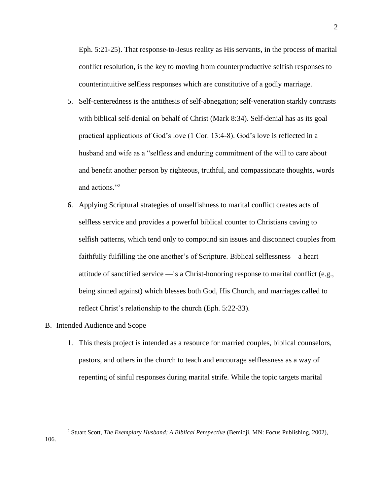Eph. 5:21-25). That response-to-Jesus reality as His servants, in the process of marital conflict resolution, is the key to moving from counterproductive selfish responses to counterintuitive selfless responses which are constitutive of a godly marriage.

- 5. Self-centeredness is the antithesis of self-abnegation; self-veneration starkly contrasts with biblical self-denial on behalf of Christ (Mark 8:34). Self-denial has as its goal practical applications of God's love (1 Cor. 13:4-8). God's love is reflected in a husband and wife as a "selfless and enduring commitment of the will to care about and benefit another person by righteous, truthful, and compassionate thoughts, words and actions."<sup>2</sup>
- 6. Applying Scriptural strategies of unselfishness to marital conflict creates acts of selfless service and provides a powerful biblical counter to Christians caving to selfish patterns, which tend only to compound sin issues and disconnect couples from faithfully fulfilling the one another's of Scripture. Biblical selflessness—a heart attitude of sanctified service —is a Christ-honoring response to marital conflict (e.g., being sinned against) which blesses both God, His Church, and marriages called to reflect Christ's relationship to the church (Eph. 5:22-33).
- B. Intended Audience and Scope
	- 1. This thesis project is intended as a resource for married couples, biblical counselors, pastors, and others in the church to teach and encourage selflessness as a way of repenting of sinful responses during marital strife. While the topic targets marital

<sup>2</sup> Stuart Scott, *The Exemplary Husband: A Biblical Perspective* (Bemidji, MN: Focus Publishing, 2002),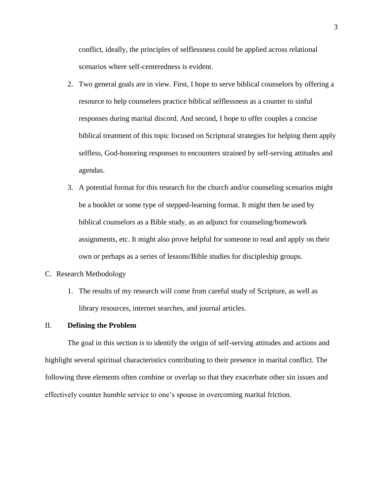conflict, ideally, the principles of selflessness could be applied across relational scenarios where self-centeredness is evident.

- 2. Two general goals are in view. First, I hope to serve biblical counselors by offering a resource to help counselees practice biblical selflessness as a counter to sinful responses during marital discord. And second, I hope to offer couples a concise biblical treatment of this topic focused on Scriptural strategies for helping them apply selfless, God-honoring responses to encounters strained by self-serving attitudes and agendas.
- 3. A potential format for this research for the church and/or counseling scenarios might be a booklet or some type of stepped-learning format. It might then be used by biblical counselors as a Bible study, as an adjunct for counseling/homework assignments, etc. It might also prove helpful for someone to read and apply on their own or perhaps as a series of lessons/Bible studies for discipleship groups.

#### C. Research Methodology

1. The results of my research will come from careful study of Scripture, as well as library resources, internet searches, and journal articles.

#### II. **Defining the Problem**

The goal in this section is to identify the origin of self-serving attitudes and actions and highlight several spiritual characteristics contributing to their presence in marital conflict. The following three elements often combine or overlap so that they exacerbate other sin issues and effectively counter humble service to one's spouse in overcoming marital friction.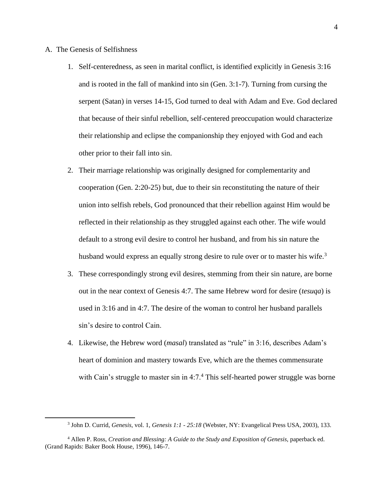- A. The Genesis of Selfishness
	- 1. Self-centeredness, as seen in marital conflict, is identified explicitly in Genesis 3:16 and is rooted in the fall of mankind into sin (Gen. 3:1-7). Turning from cursing the serpent (Satan) in verses 14-15, God turned to deal with Adam and Eve. God declared that because of their sinful rebellion, self-centered preoccupation would characterize their relationship and eclipse the companionship they enjoyed with God and each other prior to their fall into sin.
	- 2. Their marriage relationship was originally designed for complementarity and cooperation (Gen. 2:20-25) but, due to their sin reconstituting the nature of their union into selfish rebels, God pronounced that their rebellion against Him would be reflected in their relationship as they struggled against each other. The wife would default to a strong evil desire to control her husband, and from his sin nature the husband would express an equally strong desire to rule over or to master his wife.<sup>3</sup>
	- 3. These correspondingly strong evil desires, stemming from their sin nature, are borne out in the near context of Genesis 4:7. The same Hebrew word for desire (*tesuqa*) is used in 3:16 and in 4:7. The desire of the woman to control her husband parallels sin's desire to control Cain.
	- 4. Likewise, the Hebrew word (*masal*) translated as "rule" in 3:16, describes Adam's heart of dominion and mastery towards Eve, which are the themes commensurate with Cain's struggle to master sin in  $4:7.^4$  This self-hearted power struggle was borne

<sup>3</sup> John D. Currid, *Genesis*, vol. 1, *Genesis 1:1 - 25:18* (Webster, NY: Evangelical Press USA, 2003), 133.

<sup>4</sup> Allen P. Ross, *Creation and Blessing: A Guide to the Study and Exposition of Genesis*, paperback ed. (Grand Rapids: Baker Book House, 1996), 146-7.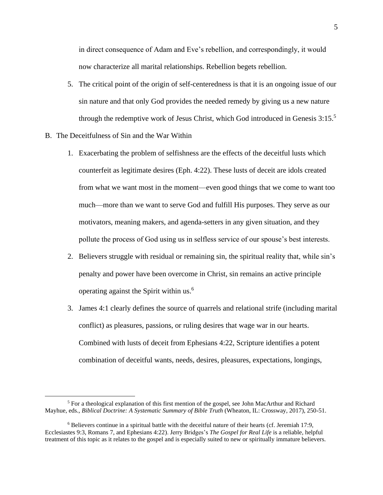in direct consequence of Adam and Eve's rebellion, and correspondingly, it would now characterize all marital relationships. Rebellion begets rebellion.

- 5. The critical point of the origin of self-centeredness is that it is an ongoing issue of our sin nature and that only God provides the needed remedy by giving us a new nature through the redemptive work of Jesus Christ, which God introduced in Genesis 3:15.<sup>5</sup>
- B. The Deceitfulness of Sin and the War Within
	- 1. Exacerbating the problem of selfishness are the effects of the deceitful lusts which counterfeit as legitimate desires (Eph. 4:22). These lusts of deceit are idols created from what we want most in the moment—even good things that we come to want too much—more than we want to serve God and fulfill His purposes. They serve as our motivators, meaning makers, and agenda-setters in any given situation, and they pollute the process of God using us in selfless service of our spouse's best interests.
	- 2. Believers struggle with residual or remaining sin, the spiritual reality that, while sin's penalty and power have been overcome in Christ, sin remains an active principle operating against the Spirit within us. 6
	- 3. James 4:1 clearly defines the source of quarrels and relational strife (including marital conflict) as pleasures, passions, or ruling desires that wage war in our hearts. Combined with lusts of deceit from Ephesians 4:22, Scripture identifies a potent combination of deceitful wants, needs, desires, pleasures, expectations, longings,

<sup>&</sup>lt;sup>5</sup> For a theological explanation of this first mention of the gospel, see John MacArthur and Richard Mayhue, eds., *Biblical Doctrine: A Systematic Summary of Bible Truth* (Wheaton, IL: Crossway, 2017), 250-51.

<sup>6</sup> Believers continue in a spiritual battle with the deceitful nature of their hearts (cf. Jeremiah 17:9, Ecclesiastes 9:3, Romans 7, and Ephesians 4:22). Jerry Bridges's *The Gospel for Real Life* is a reliable, helpful treatment of this topic as it relates to the gospel and is especially suited to new or spiritually immature believers.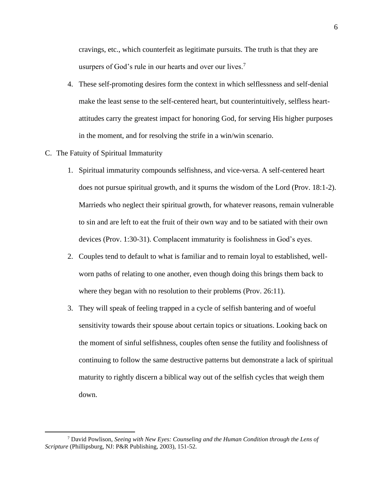cravings, etc., which counterfeit as legitimate pursuits. The truth is that they are usurpers of God's rule in our hearts and over our lives.<sup>7</sup>

- 4. These self-promoting desires form the context in which selflessness and self-denial make the least sense to the self-centered heart, but counterintuitively, selfless heartattitudes carry the greatest impact for honoring God, for serving His higher purposes in the moment, and for resolving the strife in a win/win scenario.
- C. The Fatuity of Spiritual Immaturity
	- 1. Spiritual immaturity compounds selfishness, and vice-versa. A self-centered heart does not pursue spiritual growth, and it spurns the wisdom of the Lord (Prov. 18:1-2). Marrieds who neglect their spiritual growth, for whatever reasons, remain vulnerable to sin and are left to eat the fruit of their own way and to be satiated with their own devices (Prov. 1:30-31). Complacent immaturity is foolishness in God's eyes.
	- 2. Couples tend to default to what is familiar and to remain loyal to established, wellworn paths of relating to one another, even though doing this brings them back to where they began with no resolution to their problems (Prov. 26:11).
	- 3. They will speak of feeling trapped in a cycle of selfish bantering and of woeful sensitivity towards their spouse about certain topics or situations. Looking back on the moment of sinful selfishness, couples often sense the futility and foolishness of continuing to follow the same destructive patterns but demonstrate a lack of spiritual maturity to rightly discern a biblical way out of the selfish cycles that weigh them down.

<sup>7</sup> David Powlison, *Seeing with New Eyes: Counseling and the Human Condition through the Lens of Scripture* (Phillipsburg, NJ: P&R Publishing, 2003), 151-52.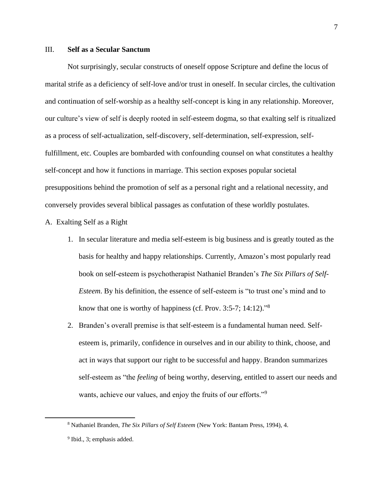# III. **Self as a Secular Sanctum**

Not surprisingly, secular constructs of oneself oppose Scripture and define the locus of marital strife as a deficiency of self-love and/or trust in oneself. In secular circles, the cultivation and continuation of self-worship as a healthy self-concept is king in any relationship. Moreover, our culture's view of self is deeply rooted in self-esteem dogma, so that exalting self is ritualized as a process of self-actualization, self-discovery, self-determination, self-expression, selffulfillment, etc. Couples are bombarded with confounding counsel on what constitutes a healthy self-concept and how it functions in marriage. This section exposes popular societal presuppositions behind the promotion of self as a personal right and a relational necessity, and conversely provides several biblical passages as confutation of these worldly postulates.

#### A. Exalting Self as a Right

- 1. In secular literature and media self-esteem is big business and is greatly touted as the basis for healthy and happy relationships. Currently, Amazon's most popularly read book on self-esteem is psychotherapist Nathaniel Branden's *The Six Pillars of Self-Esteem*. By his definition, the essence of self-esteem is "to trust one's mind and to know that one is worthy of happiness (cf. Prov. 3:5-7; 14:12)."<sup>8</sup>
- 2. Branden's overall premise is that self-esteem is a fundamental human need. Selfesteem is, primarily, confidence in ourselves and in our ability to think, choose, and act in ways that support our right to be successful and happy. Brandon summarizes self-esteem as "the *feeling* of being worthy, deserving, entitled to assert our needs and wants, achieve our values, and enjoy the fruits of our efforts."<sup>9</sup>

<sup>8</sup> Nathaniel Branden, *The Six Pillars of Self Esteem* (New York: Bantam Press, 1994), 4.

<sup>&</sup>lt;sup>9</sup> Ibid., 3; emphasis added.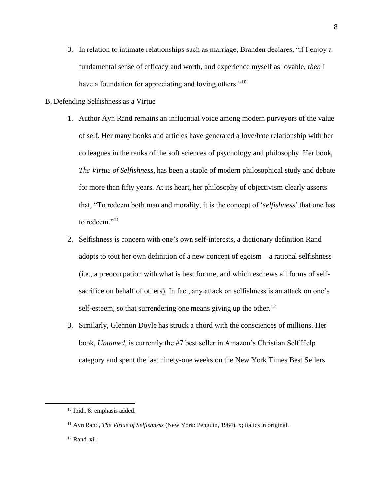- 3. In relation to intimate relationships such as marriage, Branden declares, "if I enjoy a fundamental sense of efficacy and worth, and experience myself as lovable, *then* I have a foundation for appreciating and loving others."<sup>10</sup>
- B. Defending Selfishness as a Virtue
	- 1. Author Ayn Rand remains an influential voice among modern purveyors of the value of self. Her many books and articles have generated a love/hate relationship with her colleagues in the ranks of the soft sciences of psychology and philosophy. Her book, *The Virtue of Selfishness*, has been a staple of modern philosophical study and debate for more than fifty years. At its heart, her philosophy of objectivism clearly asserts that, "To redeem both man and morality, it is the concept of '*selfishness*' that one has to redeem."<sup>11</sup>
	- 2. Selfishness is concern with one's own self-interests, a dictionary definition Rand adopts to tout her own definition of a new concept of egoism—a rational selfishness (i.e., a preoccupation with what is best for me, and which eschews all forms of selfsacrifice on behalf of others). In fact, any attack on selfishness is an attack on one's self-esteem, so that surrendering one means giving up the other.<sup>12</sup>
	- 3. Similarly, Glennon Doyle has struck a chord with the consciences of millions. Her book, *Untamed*, is currently the #7 best seller in Amazon's Christian Self Help category and spent the last ninety-one weeks on the New York Times Best Sellers

<sup>10</sup> Ibid., 8; emphasis added.

<sup>11</sup> Ayn Rand, *The Virtue of Selfishness* (New York: Penguin, 1964), x; italics in original.

 $12$  Rand, xi.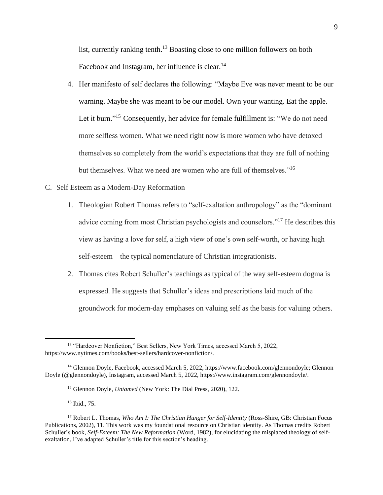list, currently ranking tenth.<sup>13</sup> Boasting close to one million followers on both Facebook and Instagram, her influence is clear.<sup>14</sup>

4. Her manifesto of self declares the following: "Maybe Eve was never meant to be our warning. Maybe she was meant to be our model. Own your wanting. Eat the apple. Let it burn."<sup>15</sup> Consequently, her advice for female fulfillment is: "We do not need more selfless women. What we need right now is more women who have detoxed themselves so completely from the world's expectations that they are full of nothing but themselves. What we need are women who are full of themselves."<sup>16</sup>

# C. Self Esteem as a Modern-Day Reformation

- 1. Theologian Robert Thomas refers to "self-exaltation anthropology" as the "dominant advice coming from most Christian psychologists and counselors."<sup>17</sup> He describes this view as having a love for self, a high view of one's own self-worth, or having high self-esteem—the typical nomenclature of Christian integrationists.
- 2. Thomas cites Robert Schuller's teachings as typical of the way self-esteem dogma is expressed. He suggests that Schuller's ideas and prescriptions laid much of the groundwork for modern-day emphases on valuing self as the basis for valuing others.

<sup>&</sup>lt;sup>13</sup> "Hardcover Nonfiction," Best Sellers, New York Times, accessed March 5, 2022, https://www.nytimes.com/books/best-sellers/hardcover-nonfiction/.

<sup>14</sup> Glennon Doyle, Facebook, accessed March 5, 2022, https://www.facebook.com/glennondoyle; Glennon Doyle (@glennondoyle), Instagram, accessed March 5, 2022, https://www.instagram.com/glennondoyle/.

<sup>15</sup> Glennon Doyle, *Untamed* (New York: The Dial Press, 2020), 122.

<sup>16</sup> Ibid., 75.

<sup>17</sup> Robert L. Thomas, *Who Am I: The Christian Hunger for Self-Identity* (Ross-Shire, GB: Christian Focus Publications, 2002), 11. This work was my foundational resource on Christian identity. As Thomas credits Robert Schuller's book, *Self-Esteem: The New Reformation* (Word, 1982), for elucidating the misplaced theology of selfexaltation, I've adapted Schuller's title for this section's heading.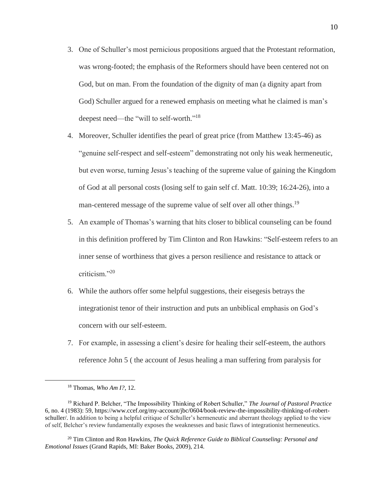- 3. One of Schuller's most pernicious propositions argued that the Protestant reformation, was wrong-footed; the emphasis of the Reformers should have been centered not on God, but on man. From the foundation of the dignity of man (a dignity apart from God) Schuller argued for a renewed emphasis on meeting what he claimed is man's deepest need—the "will to self-worth."<sup>18</sup>
- 4. Moreover, Schuller identifies the pearl of great price (from Matthew 13:45-46) as "genuine self-respect and self-esteem" demonstrating not only his weak hermeneutic, but even worse, turning Jesus's teaching of the supreme value of gaining the Kingdom of God at all personal costs (losing self to gain self cf. Matt. 10:39; 16:24-26), into a man-centered message of the supreme value of self over all other things.<sup>19</sup>
- 5. An example of Thomas's warning that hits closer to biblical counseling can be found in this definition proffered by Tim Clinton and Ron Hawkins: "Self-esteem refers to an inner sense of worthiness that gives a person resilience and resistance to attack or criticism."<sup>20</sup>
- 6. While the authors offer some helpful suggestions, their eisegesis betrays the integrationist tenor of their instruction and puts an unbiblical emphasis on God's concern with our self-esteem.
- 7. For example, in assessing a client's desire for healing their self-esteem, the authors reference John 5 ( the account of Jesus healing a man suffering from paralysis for

<sup>18</sup> Thomas, *Who Am I?*, 12.

<sup>19</sup> Richard P. Belcher, "The Impossibility Thinking of Robert Schuller," *The Journal of Pastoral Practice* 6, no. 4 (1983): 59, https://www.ccef.org/my-account/jbc/0604/book-review-the-impossibility-thinking-of-robertschuller/. In addition to being a helpful critique of Schuller's hermeneutic and aberrant theology applied to the view of self, Belcher's review fundamentally exposes the weaknesses and basic flaws of integrationist hermeneutics.

<sup>20</sup> Tim Clinton and Ron Hawkins, *The Quick Reference Guide to Biblical Counseling: Personal and Emotional Issues* (Grand Rapids, MI: Baker Books, 2009), 214.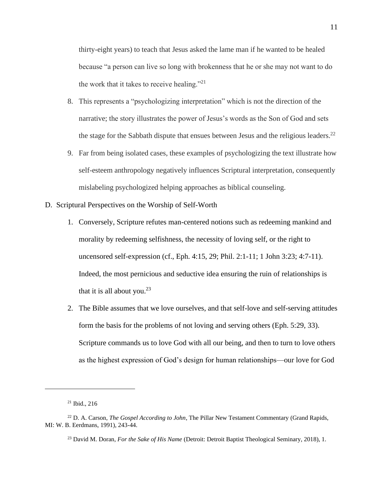thirty-eight years) to teach that Jesus asked the lame man if he wanted to be healed because "a person can live so long with brokenness that he or she may not want to do the work that it takes to receive healing."<sup>21</sup>

- 8. This represents a "psychologizing interpretation" which is not the direction of the narrative; the story illustrates the power of Jesus's words as the Son of God and sets the stage for the Sabbath dispute that ensues between Jesus and the religious leaders.<sup>22</sup>
- 9. Far from being isolated cases, these examples of psychologizing the text illustrate how self-esteem anthropology negatively influences Scriptural interpretation, consequently mislabeling psychologized helping approaches as biblical counseling.
- D. Scriptural Perspectives on the Worship of Self-Worth
	- 1. Conversely, Scripture refutes man-centered notions such as redeeming mankind and morality by redeeming selfishness, the necessity of loving self, or the right to uncensored self-expression (cf., Eph. 4:15, 29; Phil. 2:1-11; 1 John 3:23; 4:7-11). Indeed, the most pernicious and seductive idea ensuring the ruin of relationships is that it is all about you.<sup>23</sup>
	- 2. The Bible assumes that we love ourselves, and that self-love and self-serving attitudes form the basis for the problems of not loving and serving others (Eph. 5:29, 33). Scripture commands us to love God with all our being, and then to turn to love others as the highest expression of God's design for human relationships—our love for God

 $21$  Ibid., 216

<sup>22</sup> D. A. Carson, *The Gospel According to John*, The Pillar New Testament Commentary (Grand Rapids, MI: W. B. Eerdmans, 1991), 243-44.

<sup>23</sup> David M. Doran, *For the Sake of His Name* (Detroit: Detroit Baptist Theological Seminary, 2018), 1.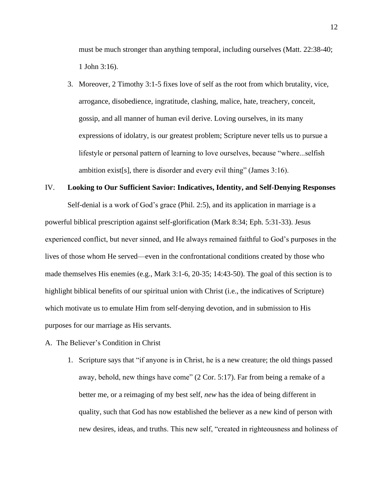must be much stronger than anything temporal, including ourselves (Matt. 22:38-40; 1 John 3:16).

3. Moreover, 2 Timothy 3:1-5 fixes love of self as the root from which brutality, vice, arrogance, disobedience, ingratitude, clashing, malice, hate, treachery, conceit, gossip, and all manner of human evil derive. Loving ourselves, in its many expressions of idolatry, is our greatest problem; Scripture never tells us to pursue a lifestyle or personal pattern of learning to love ourselves, because "where...selfish ambition exist[s], there is disorder and every evil thing" (James 3:16).

# IV. **Looking to Our Sufficient Savior: Indicatives, Identity, and Self-Denying Responses**

Self-denial is a work of God's grace (Phil. 2:5), and its application in marriage is a powerful biblical prescription against self-glorification (Mark 8:34; Eph. 5:31-33). Jesus experienced conflict, but never sinned, and He always remained faithful to God's purposes in the lives of those whom He served—even in the confrontational conditions created by those who made themselves His enemies (e.g., Mark 3:1-6, 20-35; 14:43-50). The goal of this section is to highlight biblical benefits of our spiritual union with Christ (i.e., the indicatives of Scripture) which motivate us to emulate Him from self-denying devotion, and in submission to His purposes for our marriage as His servants.

#### A. The Believer's Condition in Christ

1. Scripture says that "if anyone is in Christ, he is a new creature; the old things passed away, behold, new things have come" (2 Cor. 5:17). Far from being a remake of a better me, or a reimaging of my best self, *new* has the idea of being different in quality, such that God has now established the believer as a new kind of person with new desires, ideas, and truths. This new self, "created in righteousness and holiness of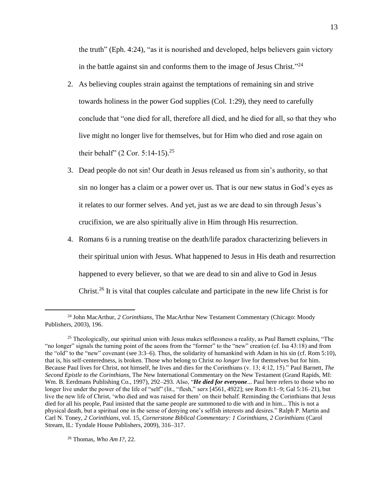the truth" (Eph. 4:24), "as it is nourished and developed, helps believers gain victory in the battle against sin and conforms them to the image of Jesus Christ."<sup>24</sup>

- 2. As believing couples strain against the temptations of remaining sin and strive towards holiness in the power God supplies (Col. 1:29), they need to carefully conclude that "one died for all, therefore all died, and he died for all, so that they who live might no longer live for themselves, but for Him who died and rose again on their behalf" (2 Cor. 5:14-15).<sup>25</sup>
- 3. Dead people do not sin! Our death in Jesus released us from sin's authority, so that sin no longer has a claim or a power over us. That is our new status in God's eyes as it relates to our former selves. And yet, just as we are dead to sin through Jesus's crucifixion, we are also spiritually alive in Him through His resurrection.
- 4. Romans 6 is a running treatise on the death/life paradox characterizing believers in their spiritual union with Jesus. What happened to Jesus in His death and resurrection happened to every believer, so that we are dead to sin and alive to God in Jesus Christ.<sup>26</sup> It is vital that couples calculate and participate in the new life Christ is for

<sup>26</sup> Thomas, *Who Am I?*, 22.

<sup>24</sup> John MacArthur, *2 Corinthians*, The MacArthur New Testament Commentary (Chicago: Moody Publishers, 2003), 196.

<sup>&</sup>lt;sup>25</sup> Theologically, our spiritual union with Jesus makes selflessness a reality, as Paul Barnett explains, "The "no longer" signals the turning point of the aeons from the "former" to the "new" creation (cf. Isa 43:18) and from the "old" to the "new" covenant (see 3:3–6). Thus, the solidarity of humankind with Adam in his sin (cf. Rom 5:10), that is, his self-centeredness, is broken. Those who belong to Christ *no longer* live for themselves but for him. Because Paul lives for Christ, not himself, he lives and dies for the Corinthians (v. 13; 4:12, 15)." Paul Barnett, *The Second Epistle to the Corinthians*, The New International Commentary on the New Testament (Grand Rapids, MI: Wm. B. Eerdmans Publishing Co., 1997), 292–293. Also, "*He died for everyone*... Paul here refers to those who no longer live under the power of the life of "self" (lit., "flesh," *sarx* [4561, 4922]; see Rom 8:1–9; Gal 5:16–21), but live the new life of Christ, 'who died and was raised for them' on their behalf. Reminding the Corinthians that Jesus died for all his people, Paul insisted that the same people are summoned to die with and in him... This is not a physical death, but a spiritual one in the sense of denying one's selfish interests and desires." Ralph P. Martin and Carl N. Toney, *2 Corinthians*, vol. 15, *Cornerstone Biblical Commentary: 1 Corinthians, 2 Corinthians* (Carol Stream, IL: Tyndale House Publishers, 2009), 316–317.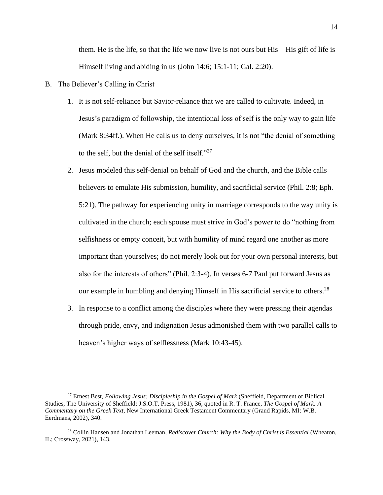them. He is the life, so that the life we now live is not ours but His—His gift of life is Himself living and abiding in us (John 14:6; 15:1-11; Gal. 2:20).

- B. The Believer's Calling in Christ
	- 1. It is not self-reliance but Savior-reliance that we are called to cultivate. Indeed, in Jesus's paradigm of followship, the intentional loss of self is the only way to gain life (Mark 8:34ff.). When He calls us to deny ourselves, it is not "the denial of something to the self, but the denial of the self itself." $^{27}$
	- 2. Jesus modeled this self-denial on behalf of God and the church, and the Bible calls believers to emulate His submission, humility, and sacrificial service (Phil. 2:8; Eph. 5:21). The pathway for experiencing unity in marriage corresponds to the way unity is cultivated in the church; each spouse must strive in God's power to do "nothing from selfishness or empty conceit, but with humility of mind regard one another as more important than yourselves; do not merely look out for your own personal interests, but also for the interests of others" (Phil. 2:3-4). In verses 6-7 Paul put forward Jesus as our example in humbling and denying Himself in His sacrificial service to others.<sup>28</sup>
	- 3. In response to a conflict among the disciples where they were pressing their agendas through pride, envy, and indignation Jesus admonished them with two parallel calls to heaven's higher ways of selflessness (Mark 10:43-45).

<sup>27</sup> Ernest Best, *Following Jesus: Discipleship in the Gospel of Mark* (Sheffield, Department of Biblical Studies, The University of Sheffield: J.S.O.T. Press, 1981), 36, quoted in R. T. France, *The Gospel of Mark: A Commentary on the Greek Text*, New International Greek Testament Commentary (Grand Rapids, MI: W.B. Eerdmans, 2002), 340.

<sup>28</sup> Collin Hansen and Jonathan Leeman, *Rediscover Church: Why the Body of Christ is Essential* (Wheaton, IL; Crossway, 2021), 143.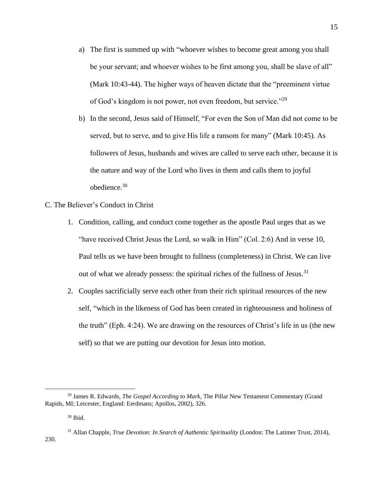- a) The first is summed up with "whoever wishes to become great among you shall be your servant; and whoever wishes to be first among you, shall be slave of all" (Mark 10:43-44). The higher ways of heaven dictate that the "preeminent virtue of God's kingdom is not power, not even freedom, but service."<sup>29</sup>
- b) In the second, Jesus said of Himself, "For even the Son of Man did not come to be served, but to serve, and to give His life a ransom for many" (Mark 10:45). As followers of Jesus, husbands and wives are called to serve each other, because it is the nature and way of the Lord who lives in them and calls them to joyful obedience. 30
- C. The Believer's Conduct in Christ
	- 1. Condition, calling, and conduct come together as the apostle Paul urges that as we "have received Christ Jesus the Lord, so walk in Him" (Col. 2:6) And in verse 10, Paul tells us we have been brought to fullness (completeness) in Christ. We can live out of what we already possess: the spiritual riches of the fullness of Jesus.<sup>31</sup>
	- 2. Couples sacrificially serve each other from their rich spiritual resources of the new self, "which in the likeness of God has been created in righteousness and holiness of the truth" (Eph. 4:24). We are drawing on the resources of Christ's life in us (the new self) so that we are putting our devotion for Jesus into motion.

<sup>29</sup> James R. Edwards, *The Gospel According to Mark*, The Pillar New Testament Commentary (Grand Rapids, MI; Leicester, England: Eerdmans; Apollos, 2002), 326.

<sup>30</sup> Ibid.

<sup>31</sup> Allan Chapple, *True Devotion: In Search of Authentic Spirituality* (London: The Latimer Trust, 2014), 230.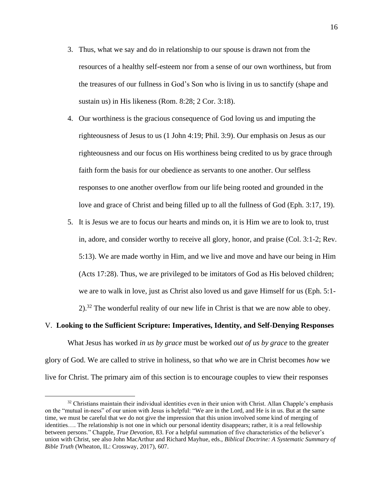- 3. Thus, what we say and do in relationship to our spouse is drawn not from the resources of a healthy self-esteem nor from a sense of our own worthiness, but from the treasures of our fullness in God's Son who is living in us to sanctify (shape and sustain us) in His likeness (Rom. 8:28; 2 Cor. 3:18).
- 4. Our worthiness is the gracious consequence of God loving us and imputing the righteousness of Jesus to us (1 John 4:19; Phil. 3:9). Our emphasis on Jesus as our righteousness and our focus on His worthiness being credited to us by grace through faith form the basis for our obedience as servants to one another. Our selfless responses to one another overflow from our life being rooted and grounded in the love and grace of Christ and being filled up to all the fullness of God (Eph. 3:17, 19).
- 5. It is Jesus we are to focus our hearts and minds on, it is Him we are to look to, trust in, adore, and consider worthy to receive all glory, honor, and praise (Col. 3:1-2; Rev. 5:13). We are made worthy in Him, and we live and move and have our being in Him (Acts 17:28). Thus, we are privileged to be imitators of God as His beloved children; we are to walk in love, just as Christ also loved us and gave Himself for us (Eph. 5:1-  $2$ .<sup>32</sup> The wonderful reality of our new life in Christ is that we are now able to obey.

# V. **Looking to the Sufficient Scripture: Imperatives, Identity, and Self-Denying Responses**

What Jesus has worked *in us by grace* must be worked *out of us by grace* to the greater glory of God. We are called to strive in holiness, so that *who* we are in Christ becomes *how* we live for Christ. The primary aim of this section is to encourage couples to view their responses

 $32$  Christians maintain their individual identities even in their union with Christ. Allan Chapple's emphasis on the "mutual in-ness" of our union with Jesus is helpful: "We are in the Lord, and He is in us. But at the same time, we must be careful that we do not give the impression that this union involved some kind of merging of identities…. The relationship is not one in which our personal identity disappears; rather, it is a real fellowship between persons." Chapple, *True Devotion*, 83. For a helpful summation of five characteristics of the believer's union with Christ, see also John MacArthur and Richard Mayhue, eds., *Biblical Doctrine: A Systematic Summary of Bible Truth* (Wheaton, IL: Crossway, 2017), 607.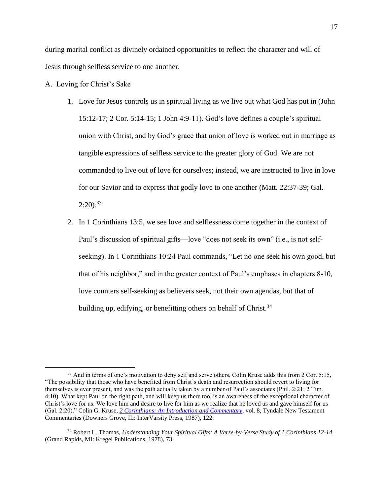during marital conflict as divinely ordained opportunities to reflect the character and will of Jesus through selfless service to one another.

- A. Loving for Christ's Sake
	- 1. Love for Jesus controls us in spiritual living as we live out what God has put in (John 15:12-17; 2 Cor. 5:14-15; 1 John 4:9-11). God's love defines a couple's spiritual union with Christ, and by God's grace that union of love is worked out in marriage as tangible expressions of selfless service to the greater glory of God. We are not commanded to live out of love for ourselves; instead, we are instructed to live in love for our Savior and to express that godly love to one another (Matt. 22:37-39; Gal.  $2:20$ ).<sup>33</sup>
	- 2. In 1 Corinthians 13:5, we see love and selflessness come together in the context of Paul's discussion of spiritual gifts—love "does not seek its own" (i.e., is not selfseeking). In 1 Corinthians 10:24 Paul commands, "Let no one seek his own good, but that of his neighbor," and in the greater context of Paul's emphases in chapters 8-10, love counters self-seeking as believers seek, not their own agendas, but that of building up, edifying, or benefitting others on behalf of Christ.<sup>34</sup>

<sup>&</sup>lt;sup>33</sup> And in terms of one's motivation to deny self and serve others, Colin Kruse adds this from 2 Cor. 5:15, "The possibility that those who have benefited from Christ's death and resurrection should revert to living for themselves is ever present, and was the path actually taken by a number of Paul's associates (Phil. 2:21; 2 Tim. 4:10). What kept Paul on the right path, and will keep us there too, is an awareness of the exceptional character of Christ's love for us. We love him and desire to live for him as we realize that he loved us and gave himself for us (Gal. 2:20)." Colin G. Kruse, *[2 Corinthians: An Introduction and Commentary](https://ref.ly/logosres/tntc68co2us?ref=Bible.2Co5.15&off=326&ctx=ied+and+was+raised.+~The+possibility+that)*, vol. 8, Tyndale New Testament Commentaries (Downers Grove, IL: InterVarsity Press, 1987), 122.

<sup>34</sup> Robert L. Thomas, *Understanding Your Spiritual Gifts: A Verse-by-Verse Study of 1 Corinthians 12-14* (Grand Rapids, MI: Kregel Publications, 1978), 73.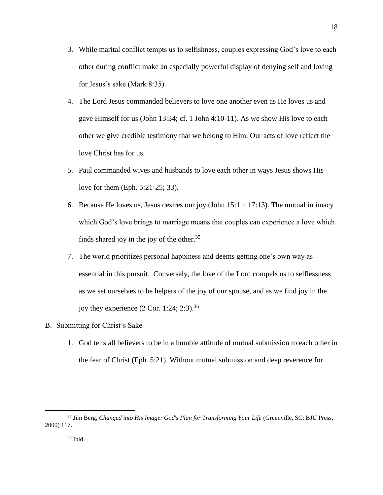- 3. While marital conflict tempts us to selfishness, couples expressing God's love to each other during conflict make an especially powerful display of denying self and loving for Jesus's sake (Mark 8:35).
- 4. The Lord Jesus commanded believers to love one another even as He loves us and gave Himself for us (John 13:34; cf. 1 John 4:10-11). As we show His love to each other we give credible testimony that we belong to Him. Our acts of love reflect the love Christ has for us.
- 5. Paul commanded wives and husbands to love each other in ways Jesus shows His love for them (Eph. 5:21-25; 33).
- 6. Because He loves us, Jesus desires our joy (John 15:11; 17:13). The mutual intimacy which God's love brings to marriage means that couples can experience a love which finds shared joy in the joy of the other. $35$
- 7. The world prioritizes personal happiness and deems getting one's own way as essential in this pursuit. Conversely, the love of the Lord compels us to selflessness as we set ourselves to be helpers of the joy of our spouse, and as we find joy in the joy they experience  $(2 \text{ Cor. } 1:24; 2:3).^{36}$
- B. Submitting for Christ's Sake
	- 1. God tells all believers to be in a humble attitude of mutual submission to each other in the fear of Christ (Eph. 5:21). Without mutual submission and deep reverence for

18

<sup>35</sup> Jim Berg, *Changed into His Image: God's Plan for Transforming Your Life* (Greenville, SC: BJU Press, 2000) 117.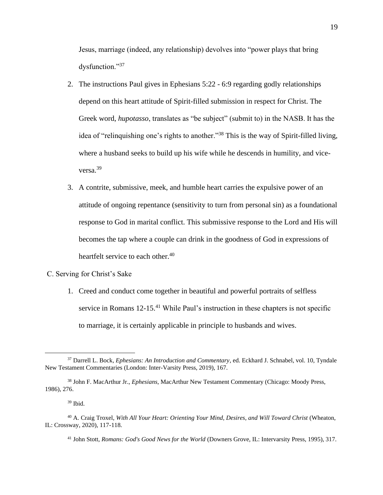Jesus, marriage (indeed, any relationship) devolves into "power plays that bring dysfunction."37

- 2. The instructions Paul gives in Ephesians 5:22 6:9 regarding godly relationships depend on this heart attitude of Spirit-filled submission in respect for Christ. The Greek word, *hupotasso*, translates as "be subject" (submit to) in the NASB. It has the idea of "relinquishing one's rights to another."<sup>38</sup> This is the way of Spirit-filled living, where a husband seeks to build up his wife while he descends in humility, and viceversa.<sup>39</sup>
- 3. A contrite, submissive, meek, and humble heart carries the expulsive power of an attitude of ongoing repentance (sensitivity to turn from personal sin) as a foundational response to God in marital conflict. This submissive response to the Lord and His will becomes the tap where a couple can drink in the goodness of God in expressions of heartfelt service to each other.<sup>40</sup>

#### C. Serving for Christ's Sake

1. Creed and conduct come together in beautiful and powerful portraits of selfless service in Romans 12-15.<sup>41</sup> While Paul's instruction in these chapters is not specific to marriage, it is certainly applicable in principle to husbands and wives.

<sup>37</sup> Darrell L. Bock, *Ephesians: An Introduction and Commentary*, ed. Eckhard J. Schnabel, vol. 10, Tyndale New Testament Commentaries (London: Inter-Varsity Press, 2019), 167.

<sup>38</sup> John F. MacArthur Jr., *Ephesians*, MacArthur New Testament Commentary (Chicago: Moody Press, 1986), 276.

 $39$  Ibid.

<sup>40</sup> A. Craig Troxel, *With All Your Heart: Orienting Your Mind, Desires, and Will Toward Christ* (Wheaton, IL: Crossway, 2020), 117-118.

<sup>41</sup> John Stott, *Romans: God's Good News for the World* (Downers Grove, IL: Intervarsity Press, 1995), 317.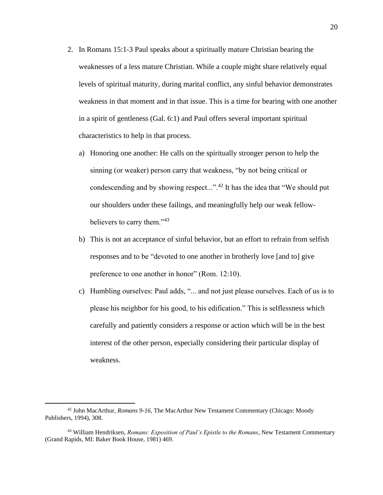- 2. In Romans 15:1-3 Paul speaks about a spiritually mature Christian bearing the weaknesses of a less mature Christian. While a couple might share relatively equal levels of spiritual maturity, during marital conflict, any sinful behavior demonstrates weakness in that moment and in that issue. This is a time for bearing with one another in a spirit of gentleness (Gal. 6:1) and Paul offers several important spiritual characteristics to help in that process.
	- a) Honoring one another: He calls on the spiritually stronger person to help the sinning (or weaker) person carry that weakness, "by not being critical or condescending and by showing respect...".<sup>42</sup> It has the idea that "We should put our shoulders under these failings, and meaningfully help our weak fellowbelievers to carry them."<sup>43</sup>
	- b) This is not an acceptance of sinful behavior, but an effort to refrain from selfish responses and to be "devoted to one another in brotherly love [and to] give preference to one another in honor" (Rom. 12:10).
	- c) Humbling ourselves: Paul adds, "... and not just please ourselves. Each of us is to please his neighbor for his good, to his edification." This is selflessness which carefully and patiently considers a response or action which will be in the best interest of the other person, especially considering their particular display of weakness.

<sup>42</sup> John MacArthur, *Romans 9-16*, The MacArthur New Testament Commentary (Chicago: Moody Publishers, 1994), 308.

<sup>43</sup> William Hendriksen, *Romans: Exposition of Paul's Epistle to the Romans*, New Testament Commentary (Grand Rapids, MI: Baker Book House, 1981) 469.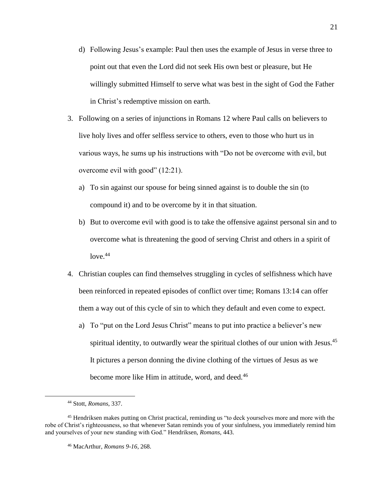- d) Following Jesus's example: Paul then uses the example of Jesus in verse three to point out that even the Lord did not seek His own best or pleasure, but He willingly submitted Himself to serve what was best in the sight of God the Father in Christ's redemptive mission on earth.
- 3. Following on a series of injunctions in Romans 12 where Paul calls on believers to live holy lives and offer selfless service to others, even to those who hurt us in various ways, he sums up his instructions with "Do not be overcome with evil, but overcome evil with good" (12:21).
	- a) To sin against our spouse for being sinned against is to double the sin (to compound it) and to be overcome by it in that situation.
	- b) But to overcome evil with good is to take the offensive against personal sin and to overcome what is threatening the good of serving Christ and others in a spirit of  $love.<sup>44</sup>$
- 4. Christian couples can find themselves struggling in cycles of selfishness which have been reinforced in repeated episodes of conflict over time; Romans 13:14 can offer them a way out of this cycle of sin to which they default and even come to expect.
	- a) To "put on the Lord Jesus Christ" means to put into practice a believer's new spiritual identity, to outwardly wear the spiritual clothes of our union with Jesus.<sup>45</sup> It pictures a person donning the divine clothing of the virtues of Jesus as we become more like Him in attitude, word, and deed.<sup>46</sup>

<sup>44</sup> Stott, *Romans*, 337.

<sup>45</sup> Hendriksen makes putting on Christ practical, reminding us "to deck yourselves more and more with the robe of Christ's righteousness, so that whenever Satan reminds you of your sinfulness, you immediately remind him and yourselves of your new standing with God." Hendriksen, *Romans*, 443.

<sup>46</sup> MacArthur, *Romans 9-16*, 268.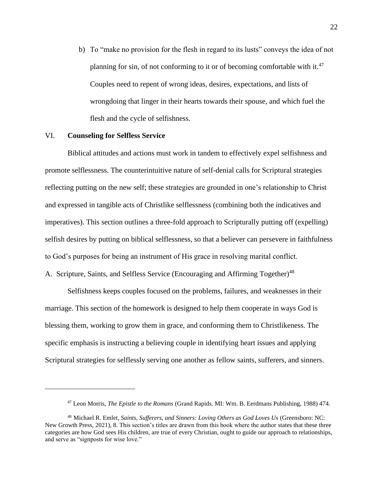b) To "make no provision for the flesh in regard to its lusts" conveys the idea of not planning for sin, of not conforming to it or of becoming comfortable with it.<sup>47</sup> Couples need to repent of wrong ideas, desires, expectations, and lists of wrongdoing that linger in their hearts towards their spouse, and which fuel the flesh and the cycle of selfishness.

#### VI. **Counseling for Selfless Service**

Biblical attitudes and actions must work in tandem to effectively expel selfishness and promote selflessness. The counterintuitive nature of self-denial calls for Scriptural strategies reflecting putting on the new self; these strategies are grounded in one's relationship to Christ and expressed in tangible acts of Christlike selflessness (combining both the indicatives and imperatives). This section outlines a three-fold approach to Scripturally putting off (expelling) selfish desires by putting on biblical selflessness, so that a believer can persevere in faithfulness to God's purposes for being an instrument of His grace in resolving marital conflict.

A. Scripture, Saints, and Selfless Service (Encouraging and Affirming Together)<sup>48</sup>

Selfishness keeps couples focused on the problems, failures, and weaknesses in their marriage. This section of the homework is designed to help them cooperate in ways God is blessing them, working to grow them in grace, and conforming them to Christlikeness. The specific emphasis is instructing a believing couple in identifying heart issues and applying Scriptural strategies for selflessly serving one another as fellow saints, sufferers, and sinners.

<sup>47</sup> Leon Morris, *The Epistle to the Romans* (Grand Rapids. MI: Wm. B. Eerdmans Publishing, 1988) 474.

<sup>48</sup> Michael R. Emlet, *Saints, Sufferers, and Sinners: Loving Others as God Loves Us* (Greensboro: NC: New Growth Press, 2021), 8. This section's titles are drawn from this book where the author states that these three categories are how God sees His children, are true of every Christian, ought to guide our approach to relationships, and serve as "signposts for wise love."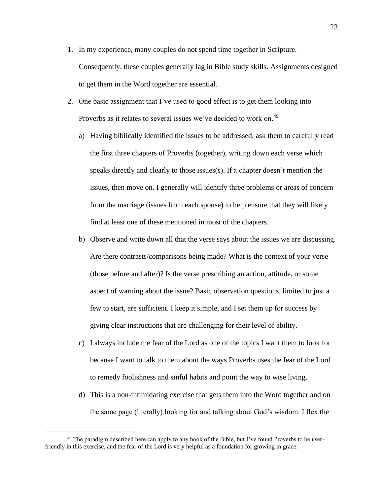- 1. In my experience, many couples do not spend time together in Scripture. Consequently, these couples generally lag in Bible study skills. Assignments designed to get them in the Word together are essential.
- 2. One basic assignment that I've used to good effect is to get them looking into Proverbs as it relates to several issues we've decided to work on.<sup>49</sup>
	- a) Having biblically identified the issues to be addressed, ask them to carefully read the first three chapters of Proverbs (together), writing down each verse which speaks directly and clearly to those issues(s). If a chapter doesn't mention the issues, then move on. I generally will identify three problems or areas of concern from the marriage (issues from each spouse) to help ensure that they will likely find at least one of these mentioned in most of the chapters.
	- b) Observe and write down all that the verse says about the issues we are discussing. Are there contrasts/comparisons being made? What is the context of your verse (those before and after)? Is the verse prescribing an action, attitude, or some aspect of warning about the issue? Basic observation questions, limited to just a few to start, are sufficient. I keep it simple, and I set them up for success by giving clear instructions that are challenging for their level of ability.
	- c) I always include the fear of the Lord as one of the topics I want them to look for because I want to talk to them about the ways Proverbs uses the fear of the Lord to remedy foolishness and sinful habits and point the way to wise living.
	- d) This is a non-intimidating exercise that gets them into the Word together and on the same page (literally) looking for and talking about God's wisdom. I flex the

<sup>&</sup>lt;sup>49</sup> The paradigm described here can apply to any book of the Bible, but I've found Proverbs to be userfriendly in this exercise, and the fear of the Lord is very helpful as a foundation for growing in grace.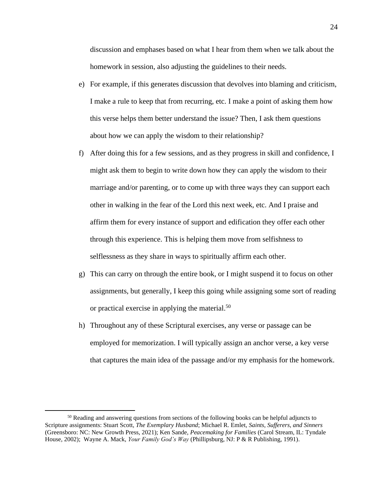discussion and emphases based on what I hear from them when we talk about the homework in session, also adjusting the guidelines to their needs.

- e) For example, if this generates discussion that devolves into blaming and criticism, I make a rule to keep that from recurring, etc. I make a point of asking them how this verse helps them better understand the issue? Then, I ask them questions about how we can apply the wisdom to their relationship?
- f) After doing this for a few sessions, and as they progress in skill and confidence, I might ask them to begin to write down how they can apply the wisdom to their marriage and/or parenting, or to come up with three ways they can support each other in walking in the fear of the Lord this next week, etc. And I praise and affirm them for every instance of support and edification they offer each other through this experience. This is helping them move from selfishness to selflessness as they share in ways to spiritually affirm each other.
- g) This can carry on through the entire book, or I might suspend it to focus on other assignments, but generally, I keep this going while assigning some sort of reading or practical exercise in applying the material.<sup>50</sup>
- h) Throughout any of these Scriptural exercises, any verse or passage can be employed for memorization. I will typically assign an anchor verse, a key verse that captures the main idea of the passage and/or my emphasis for the homework.

<sup>&</sup>lt;sup>50</sup> Reading and answering questions from sections of the following books can be helpful adjuncts to Scripture assignments: Stuart Scott, *The Exemplary Husband*; Michael R. Emlet, *Saints, Sufferers, and Sinners* (Greensboro: NC: New Growth Press, 2021); Ken Sande, *Peacemaking for Families* (Carol Stream, IL: Tyndale House, 2002); Wayne A. Mack, *Your Family God's Way* (Phillipsburg, NJ: P & R Publishing, 1991).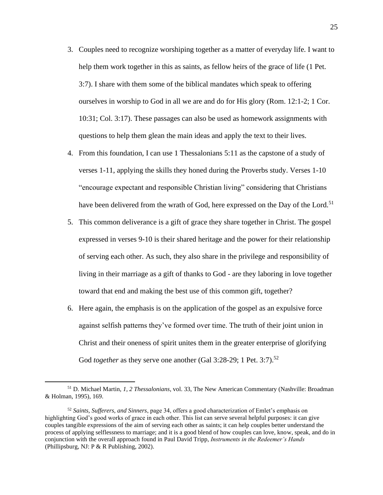- 3. Couples need to recognize worshiping together as a matter of everyday life. I want to help them work together in this as saints, as fellow heirs of the grace of life (1 Pet. 3:7). I share with them some of the biblical mandates which speak to offering ourselves in worship to God in all we are and do for His glory (Rom. 12:1-2; 1 Cor. 10:31; Col. 3:17). These passages can also be used as homework assignments with questions to help them glean the main ideas and apply the text to their lives.
- 4. From this foundation, I can use 1 Thessalonians 5:11 as the capstone of a study of verses 1-11, applying the skills they honed during the Proverbs study. Verses 1-10 "encourage expectant and responsible Christian living" considering that Christians have been delivered from the wrath of God, here expressed on the Day of the Lord.<sup>51</sup>
- 5. This common deliverance is a gift of grace they share together in Christ. The gospel expressed in verses 9-10 is their shared heritage and the power for their relationship of serving each other. As such, they also share in the privilege and responsibility of living in their marriage as a gift of thanks to God - are they laboring in love together toward that end and making the best use of this common gift, together?
- 6. Here again, the emphasis is on the application of the gospel as an expulsive force against selfish patterns they've formed over time. The truth of their joint union in Christ and their oneness of spirit unites them in the greater enterprise of glorifying God *together* as they serve one another (Gal 3:28-29; 1 Pet. 3:7).<sup>52</sup>

<sup>51</sup> D. Michael Martin, *1, 2 Thessalonians*, vol. 33, The New American Commentary (Nashville: Broadman & Holman, 1995), 169.

<sup>52</sup> *Saints, Sufferers, and Sinners*, page 34, offers a good characterization of Emlet's emphasis on highlighting God's good works of grace in each other. This list can serve several helpful purposes: it can give couples tangible expressions of the aim of serving each other as saints; it can help couples better understand the process of applying selflessness to marriage; and it is a good blend of how couples can love, know, speak, and do in conjunction with the overall approach found in Paul David Tripp, *Instruments in the Redeemer's Hands* (Phillipsburg, NJ: P & R Publishing, 2002).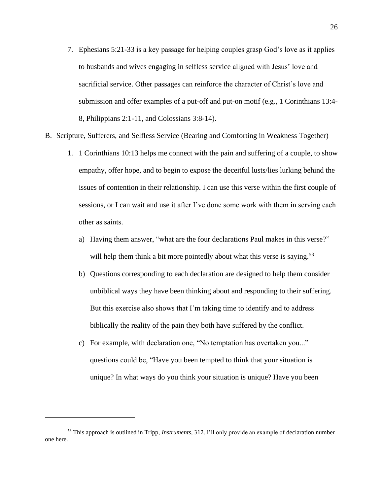- 7. Ephesians 5:21-33 is a key passage for helping couples grasp God's love as it applies to husbands and wives engaging in selfless service aligned with Jesus' love and sacrificial service. Other passages can reinforce the character of Christ's love and submission and offer examples of a put-off and put-on motif (e.g., 1 Corinthians 13:4- 8, Philippians 2:1-11, and Colossians 3:8-14).
- B. Scripture, Sufferers, and Selfless Service (Bearing and Comforting in Weakness Together)
	- 1. 1 Corinthians 10:13 helps me connect with the pain and suffering of a couple, to show empathy, offer hope, and to begin to expose the deceitful lusts/lies lurking behind the issues of contention in their relationship. I can use this verse within the first couple of sessions, or I can wait and use it after I've done some work with them in serving each other as saints.
		- a) Having them answer, "what are the four declarations Paul makes in this verse?" will help them think a bit more pointedly about what this verse is saying.<sup>53</sup>
		- b) Questions corresponding to each declaration are designed to help them consider unbiblical ways they have been thinking about and responding to their suffering. But this exercise also shows that I'm taking time to identify and to address biblically the reality of the pain they both have suffered by the conflict.
		- c) For example, with declaration one, "No temptation has overtaken you..." questions could be, "Have you been tempted to think that your situation is unique? In what ways do you think your situation is unique? Have you been

<sup>53</sup> This approach is outlined in Tripp, *Instruments*, 312. I'll only provide an example of declaration number one here.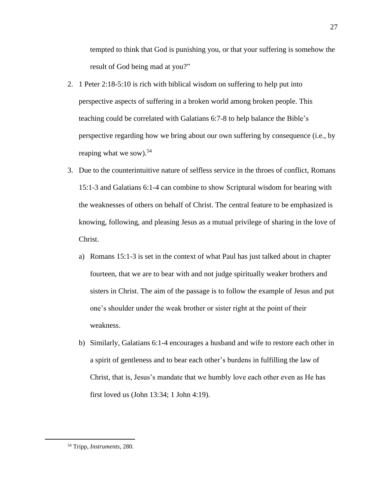tempted to think that God is punishing you, or that your suffering is somehow the result of God being mad at you?"

- 2. 1 Peter 2:18-5:10 is rich with biblical wisdom on suffering to help put into perspective aspects of suffering in a broken world among broken people. This teaching could be correlated with Galatians 6:7-8 to help balance the Bible's perspective regarding how we bring about our own suffering by consequence (i.e., by reaping what we sow).<sup>54</sup>
- 3. Due to the counterintuitive nature of selfless service in the throes of conflict, Romans 15:1-3 and Galatians 6:1-4 can combine to show Scriptural wisdom for bearing with the weaknesses of others on behalf of Christ. The central feature to be emphasized is knowing, following, and pleasing Jesus as a mutual privilege of sharing in the love of Christ.
	- a) Romans 15:1-3 is set in the context of what Paul has just talked about in chapter fourteen, that we are to bear with and not judge spiritually weaker brothers and sisters in Christ. The aim of the passage is to follow the example of Jesus and put one's shoulder under the weak brother or sister right at the point of their weakness.
	- b) Similarly, Galatians 6:1-4 encourages a husband and wife to restore each other in a spirit of gentleness and to bear each other's burdens in fulfilling the law of Christ, that is, Jesus's mandate that we humbly love each other even as He has first loved us (John 13:34; 1 John 4:19).

<sup>54</sup> Tripp, *Instruments*, 280.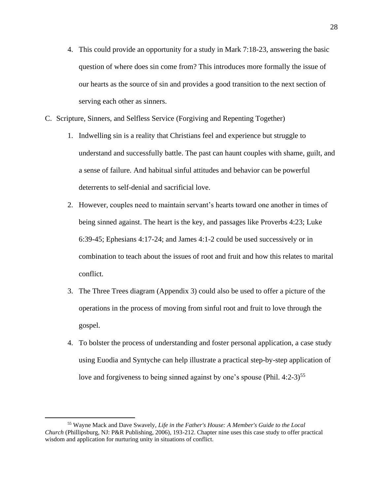- 4. This could provide an opportunity for a study in Mark 7:18-23, answering the basic question of where does sin come from? This introduces more formally the issue of our hearts as the source of sin and provides a good transition to the next section of serving each other as sinners.
- C. Scripture, Sinners, and Selfless Service (Forgiving and Repenting Together)
	- 1. Indwelling sin is a reality that Christians feel and experience but struggle to understand and successfully battle. The past can haunt couples with shame, guilt, and a sense of failure. And habitual sinful attitudes and behavior can be powerful deterrents to self-denial and sacrificial love.
	- 2. However, couples need to maintain servant's hearts toward one another in times of being sinned against. The heart is the key, and passages like Proverbs 4:23; Luke 6:39-45; Ephesians 4:17-24; and James 4:1-2 could be used successively or in combination to teach about the issues of root and fruit and how this relates to marital conflict.
	- 3. The Three Trees diagram (Appendix 3) could also be used to offer a picture of the operations in the process of moving from sinful root and fruit to love through the gospel.
	- 4. To bolster the process of understanding and foster personal application, a case study using Euodia and Syntyche can help illustrate a practical step-by-step application of love and forgiveness to being sinned against by one's spouse (Phil.  $4:2-3$ )<sup>55</sup>

<sup>55</sup> Wayne Mack and Dave Swavely, *Life in the Father's House: A Member's Guide to the Local Church* (Phillipsburg, NJ: P&R Publishing, 2006), 193-212. Chapter nine uses this case study to offer practical wisdom and application for nurturing unity in situations of conflict.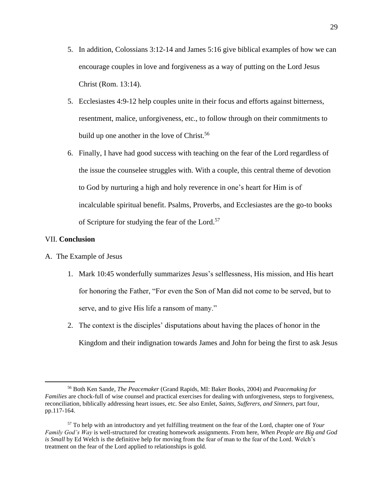- 5. In addition, Colossians 3:12-14 and James 5:16 give biblical examples of how we can encourage couples in love and forgiveness as a way of putting on the Lord Jesus Christ (Rom. 13:14).
- 5. Ecclesiastes 4:9-12 help couples unite in their focus and efforts against bitterness, resentment, malice, unforgiveness, etc., to follow through on their commitments to build up one another in the love of Christ.<sup>56</sup>
- 6. Finally, I have had good success with teaching on the fear of the Lord regardless of the issue the counselee struggles with. With a couple, this central theme of devotion to God by nurturing a high and holy reverence in one's heart for Him is of incalculable spiritual benefit. Psalms, Proverbs, and Ecclesiastes are the go-to books of Scripture for studying the fear of the Lord.<sup>57</sup>

# VII. **Conclusion**

#### A. The Example of Jesus

- 1. Mark 10:45 wonderfully summarizes Jesus's selflessness, His mission, and His heart for honoring the Father, "For even the Son of Man did not come to be served, but to serve, and to give His life a ransom of many."
- 2. The context is the disciples' disputations about having the places of honor in the Kingdom and their indignation towards James and John for being the first to ask Jesus

<sup>56</sup> Both Ken Sande, *The Peacemaker* (Grand Rapids, MI: Baker Books, 2004) and *Peacemaking for Families* are chock-full of wise counsel and practical exercises for dealing with unforgiveness, steps to forgiveness, reconciliation, biblically addressing heart issues, etc. See also Emlet, *Saints, Sufferers, and Sinners*, part four, pp.117-164.

<sup>57</sup> To help with an introductory and yet fulfilling treatment on the fear of the Lord, chapter one of *Your Family God's Way* is well-structured for creating homework assignments. From here, *When People are Big and God is Small* by Ed Welch is the definitive help for moving from the fear of man to the fear of the Lord. Welch's treatment on the fear of the Lord applied to relationships is gold.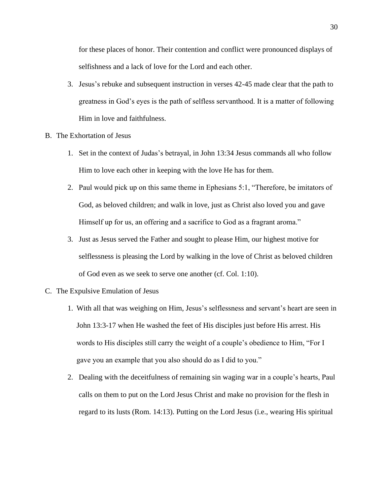for these places of honor. Their contention and conflict were pronounced displays of selfishness and a lack of love for the Lord and each other.

- 3. Jesus's rebuke and subsequent instruction in verses 42-45 made clear that the path to greatness in God's eyes is the path of selfless servanthood. It is a matter of following Him in love and faithfulness.
- B. The Exhortation of Jesus
	- 1. Set in the context of Judas's betrayal, in John 13:34 Jesus commands all who follow Him to love each other in keeping with the love He has for them.
	- 2. Paul would pick up on this same theme in Ephesians 5:1, "Therefore, be imitators of God, as beloved children; and walk in love, just as Christ also loved you and gave Himself up for us, an offering and a sacrifice to God as a fragrant aroma."
	- 3. Just as Jesus served the Father and sought to please Him, our highest motive for selflessness is pleasing the Lord by walking in the love of Christ as beloved children of God even as we seek to serve one another (cf. Col. 1:10).
- C. The Expulsive Emulation of Jesus
	- 1. With all that was weighing on Him, Jesus's selflessness and servant's heart are seen in John 13:3-17 when He washed the feet of His disciples just before His arrest. His words to His disciples still carry the weight of a couple's obedience to Him, "For I gave you an example that you also should do as I did to you."
	- 2. Dealing with the deceitfulness of remaining sin waging war in a couple's hearts, Paul calls on them to put on the Lord Jesus Christ and make no provision for the flesh in regard to its lusts (Rom. 14:13). Putting on the Lord Jesus (i.e., wearing His spiritual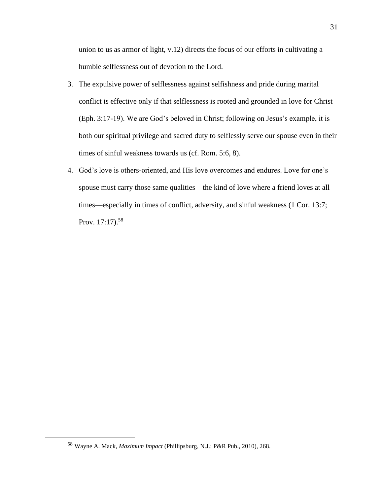union to us as armor of light, v.12) directs the focus of our efforts in cultivating a humble selflessness out of devotion to the Lord.

- 3. The expulsive power of selflessness against selfishness and pride during marital conflict is effective only if that selflessness is rooted and grounded in love for Christ (Eph. 3:17-19). We are God's beloved in Christ; following on Jesus's example, it is both our spiritual privilege and sacred duty to selflessly serve our spouse even in their times of sinful weakness towards us (cf. Rom. 5:6, 8).
- 4. God's love is others-oriented, and His love overcomes and endures. Love for one's spouse must carry those same qualities—the kind of love where a friend loves at all times—especially in times of conflict, adversity, and sinful weakness (1 Cor. 13:7; Prov.  $17:17$ .  $58$

<sup>58</sup> Wayne A. Mack, *Maximum Impact* (Phillipsburg, N.J.: P&R Pub., 2010), 268.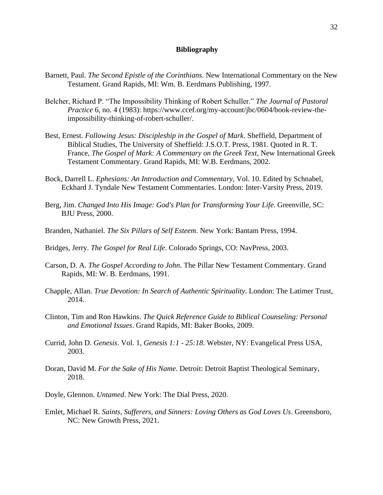# **Bibliography**

- Barnett, Paul. *The Second Epistle of the Corinthians*. New International Commentary on the New Testament. Grand Rapids, MI: Wm. B. Eerdmans Publishing, 1997.
- Belcher, Richard P. "The Impossibility Thinking of Robert Schuller." *The Journal of Pastoral Practice* 6, no. 4 (1983): https://www.ccef.org/my-account/jbc/0604/book-review-theimpossibility-thinking-of-robert-schuller/.
- Best, Ernest. *Following Jesus: Discipleship in the Gospel of Mark*. Sheffield, Department of Biblical Studies, The University of Sheffield: J.S.O.T. Press, 1981. Quoted in R. T. France, *The Gospel of Mark: A Commentary on the Greek Text*, New International Greek Testament Commentary. Grand Rapids, MI: W.B. Eerdmans, 2002.
- Bock, Darrell L. *Ephesians: An Introduction and Commentary*, Vol. 10. Edited by Schnabel, Eckhard J. Tyndale New Testament Commentaries. London: Inter-Varsity Press, 2019.
- Berg, Jim. *Changed Into His Image: God's Plan for Transforming Your Life*. Greenville, SC: BJU Press, 2000.
- Branden, Nathaniel. *The Six Pillars of Self Esteem*. New York: Bantam Press, 1994.
- Bridges, Jerry. *The Gospel for Real Life*. Colorado Springs, CO: NavPress, 2003.
- Carson, D. A. *The Gospel According to John*. The Pillar New Testament Commentary. Grand Rapids, MI: W. B. Eerdmans, 1991.
- Chapple, Allan. *True Devotion: In Search of Authentic Spirituality*. London: The Latimer Trust, 2014.
- Clinton, Tim and Ron Hawkins. *The Quick Reference Guide to Biblical Counseling: Personal and Emotional Issues*. Grand Rapids, MI: Baker Books, 2009.
- Currid, John D. *Genesis*. Vol. 1, *Genesis 1:1 - 25:18*. Webster, NY: Evangelical Press USA, 2003.
- Doran, David M. *For the Sake of His Name*. Detroit: Detroit Baptist Theological Seminary, 2018.
- Doyle, Glennon. *Untamed*. New York: The Dial Press, 2020.
- Emlet, Michael R. *Saints, Sufferers, and Sinners: Loving Others as God Loves Us*. Greensboro, NC: New Growth Press, 2021.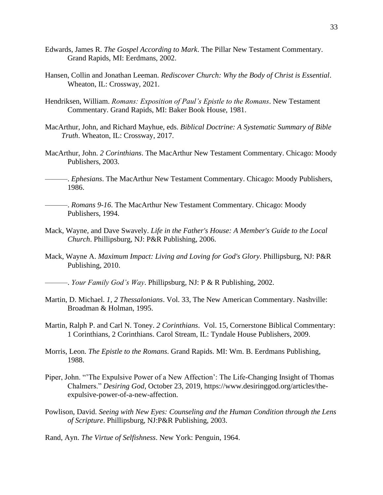- Edwards, James R. *The Gospel According to Mark*. The Pillar New Testament Commentary. Grand Rapids, MI: Eerdmans, 2002.
- Hansen, Collin and Jonathan Leeman. *Rediscover Church: Why the Body of Christ is Essential*. Wheaton, IL: Crossway, 2021.
- Hendriksen, William. *Romans: Exposition of Paul's Epistle to the Romans*. New Testament Commentary. Grand Rapids, MI: Baker Book House, 1981.
- MacArthur, John, and Richard Mayhue, eds. *Biblical Doctrine: A Systematic Summary of Bible Truth*. Wheaton, IL: Crossway, 2017.
- MacArthur, John. *2 Corinthians*. The MacArthur New Testament Commentary. Chicago: Moody Publishers, 2003.

———. *Ephesians*. The MacArthur New Testament Commentary. Chicago: Moody Publishers, 1986.

- ———. *Romans 9-16*. The MacArthur New Testament Commentary. Chicago: Moody Publishers, 1994.
- Mack, Wayne, and Dave Swavely. *Life in the Father's House: A Member's Guide to the Local Church*. Phillipsburg, NJ: P&R Publishing, 2006.
- Mack, Wayne A. *Maximum Impact: Living and Loving for God's Glory*. Phillipsburg, NJ: P&R Publishing, 2010.

———. *Your Family God's Way*. Phillipsburg, NJ: P & R Publishing, 2002.

- Martin, D. Michael. *1, 2 Thessalonians*. Vol. 33, The New American Commentary. Nashville: Broadman & Holman, 1995.
- Martin, Ralph P. and Carl N. Toney. *2 Corinthians*. Vol. 15, Cornerstone Biblical Commentary: 1 Corinthians, 2 Corinthians. Carol Stream, IL: Tyndale House Publishers, 2009.
- Morris, Leon. *The Epistle to the Romans*. Grand Rapids. MI: Wm. B. Eerdmans Publishing, 1988.
- Piper, John. "'The Expulsive Power of a New Affection': The Life-Changing Insight of Thomas Chalmers." *Desiring God*, October 23, 2019, [https://www.desiringgod.org/articles/the](https://www.desiringgod.org/articles/the-expulsive-power-of-a-new-affection)[expulsive-power-of-a-new-affection.](https://www.desiringgod.org/articles/the-expulsive-power-of-a-new-affection)
- Powlison, David. *Seeing with New Eyes: Counseling and the Human Condition through the Lens of Scripture*. Phillipsburg, NJ:P&R Publishing, 2003.

Rand, Ayn. *The Virtue of Selfishness*. New York: Penguin, 1964.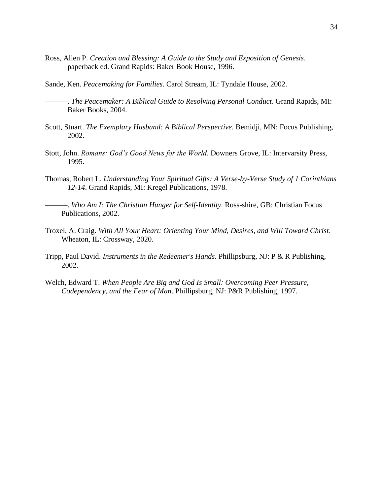- Ross, Allen P. *Creation and Blessing: A Guide to the Study and Exposition of Genesis*. paperback ed. Grand Rapids: Baker Book House, 1996.
- Sande, Ken. *Peacemaking for Families*. Carol Stream, IL: Tyndale House, 2002.
	- ———. *The Peacemaker: A Biblical Guide to Resolving Personal Conduct*. Grand Rapids, MI: Baker Books, 2004.
- Scott, Stuart. *The Exemplary Husband: A Biblical Perspective*. Bemidji, MN: Focus Publishing, 2002.
- Stott, John. *Romans: God's Good News for the World*. Downers Grove, IL: Intervarsity Press, 1995.
- Thomas, Robert L. *Understanding Your Spiritual Gifts: A Verse-by-Verse Study of 1 Corinthians 12-14*. Grand Rapids, MI: Kregel Publications, 1978.
	- ———. *Who Am I: The Christian Hunger for Self-Identity*. Ross-shire, GB: Christian Focus Publications, 2002.
- Troxel, A. Craig. *With All Your Heart: Orienting Your Mind, Desires, and Will Toward Christ*. Wheaton, IL: Crossway, 2020.
- Tripp, Paul David. *Instruments in the Redeemer's Hands*. Phillipsburg, NJ: P & R Publishing, 2002.
- Welch, Edward T. *When People Are Big and God Is Small: Overcoming Peer Pressure, Codependency, and the Fear of Man*. Phillipsburg, NJ: P&R Publishing, 1997.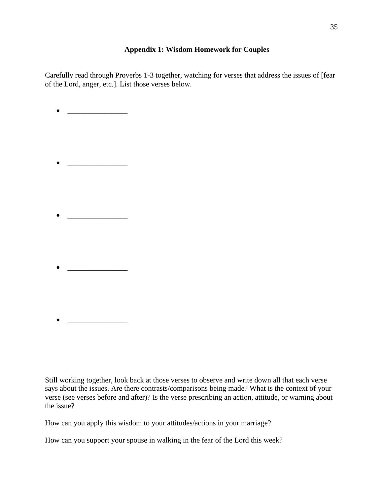# **Appendix 1: Wisdom Homework for Couples**

Carefully read through Proverbs 1-3 together, watching for verses that address the issues of [fear of the Lord, anger, etc.]. List those verses below.

• \_\_\_\_\_\_\_\_\_\_\_\_\_\_\_\_

- \_\_\_\_\_\_\_\_\_\_\_\_\_\_\_\_
- $\bullet$   $\qquad \qquad$
- $\bullet$   $\qquad \qquad \overline{\qquad \qquad }$
- \_\_\_\_\_\_\_\_\_\_\_\_\_\_\_\_

Still working together, look back at those verses to observe and write down all that each verse says about the issues. Are there contrasts/comparisons being made? What is the context of your verse (see verses before and after)? Is the verse prescribing an action, attitude, or warning about the issue?

How can you apply this wisdom to your attitudes/actions in your marriage?

How can you support your spouse in walking in the fear of the Lord this week?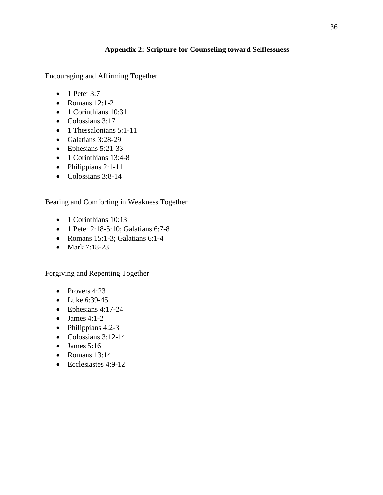# **Appendix 2: Scripture for Counseling toward Selflessness**

Encouraging and Affirming Together

- $\bullet$  1 Peter 3:7
- Romans  $12:1-2$
- 1 Corinthians 10:31
- Colossians 3:17
- $\bullet$  1 Thessalonians 5:1-11
- Galatians 3:28-29
- Ephesians 5:21-33
- 1 Corinthians 13:4-8
- Philippians 2:1-11
- Colossians 3:8-14

# Bearing and Comforting in Weakness Together

- 1 Corinthians 10:13
- 1 Peter 2:18-5:10; Galatians 6:7-8
- Romans 15:1-3; Galatians 6:1-4
- Mark 7:18-23

Forgiving and Repenting Together

- Provers 4:23
- Luke 6:39-45
- Ephesians 4:17-24
- James  $4:1-2$
- Philippians 4:2-3
- Colossians 3:12-14
- James  $5:16$
- Romans  $13:14$
- Ecclesiastes 4:9-12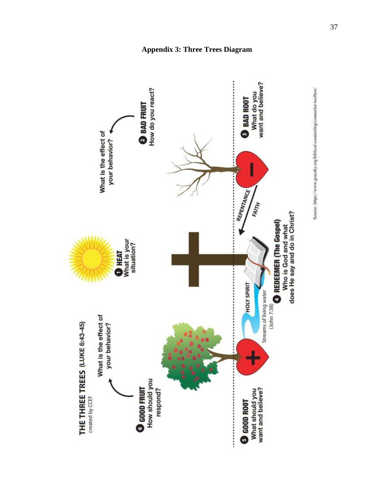

**Appendix 3: Three Trees Diagram**